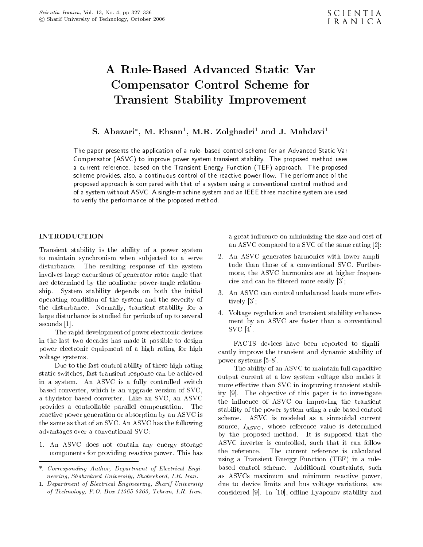# Compensator Control Scheme for Transient Stability Improvement

# S. Abazari , M. Ehsan , M.R. Zolghadri and J. Mahdavi

The paper presents the application of a rule- based control scheme for an Advanced Static Var Compensator (ASVC) to improve power system transient stability. The proposed method uses <sup>a</sup> current reference, based on the Transient Energy Function (TEF) approach. The proposed scheme provides, also, a continuous control of the reactive power flow. The performance of the proposed approach is compared with that of a system using a conventional control method and of a system without ASVC. A single-machine system and an IEEE three machine system are used to verify the performance of the proposed method.

#### INTRODUCTION

Transient stability is the ability of <sup>a</sup> power system to maintain synchronism when subjected to a serve disturbance. The resulting response of the system involves large excursions of generator rotor angle that are determined by the nonlinear power-angle relationship. System stability depends on both the initial operating condition of the system and the severity of the disturbance. Normally, transient stability for <sup>a</sup> large disturbance is studied for periods of up to several seconds [1].

The rapid development of power electronic devices in the last two decades has made it possible to design power electronic equipment of <sup>a</sup> high rating for high voltage systems.

Due to the fast control ability of these high rating static switches, fast transient response can be achieved in <sup>a</sup> system. An ASVC is <sup>a</sup> fully controlled switch based converter, which is an upgrade version of SVC, <sup>a</sup> thyristor based converter. Like an SVC, an ASVC provides <sup>a</sup> controllable parallel compensation. The reactive power generation or absorption by an ASVC is the same as that of an SVC. An ASVC has the following advantages over a conventional SVC:

1. An ASVC does not contain any energy storage ASVC inverter<br>components for providing reactive power. This has the reference. components for providing reactive power. This has

<sup>a</sup> great in
uence on minimizing the size and cost of an ASVC compared to a SVC of the same rating [2];

- 2. An ASVC generates harmonics with lower amplitude than those of <sup>a</sup> conventional SVC. Furthermore, the ASVC harmonics are at higher frequencies and can be ltered more easily [3];
- 3. An ASVC can control unbalanced loads more effectively [3];
- 4. Voltage regulation and transient stability enhancement by an ASVC are faster than <sup>a</sup> conventional SVC [4].

FACTS devices have been reported to significantly improve the transient and dynamic stability of power systems [5-8].

The ability of an ASVC to maintain full capacitive output current at <sup>a</sup> low system voltage also makes it more effective than SVC in improving transient stability [9]. The objective of this paper is to investigate the influence of ASVC on improving the transient stability of the power system using a rule based control scheme. ASVC is modeled as <sup>a</sup> sinusoidal current source,  $I_{\rm ASVC}$ , whose reference value is determined by the proposed method. It is supposed that the ASVC inverter is controlled, such that it can follow The current reference is calculated using <sup>a</sup> Transient Energy Function (TEF) in <sup>a</sup> rulebased control scheme. Additional constraints, such as ASVCs maximum and minimum reactive power, due to device limits and bus voltage variations, are considered  $[9]$ . In  $[10]$ , offline Lyaponov stability and

<sup>\*.</sup> Corresponding Author, Department of Electrical Engineering, Shahrekord University, Shahrekord, I.R. Iran.

<sup>1.</sup> Department of Electrical Engineering, Sharif University of Technology, P.O. Box 11365-9363, Tehran, I.R. Iran.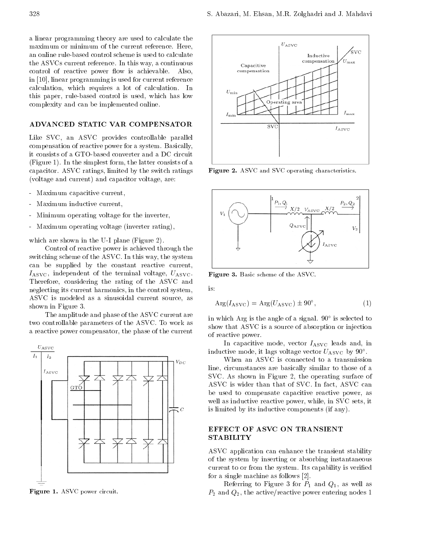<sup>a</sup> linear programming theory are used to calculate the maximum or minimum of the current reference. Here, an online rule-based control scheme is used to calculate the ASVCs current reference. In this way, a continuous control of reactive power flow is achievable. Also, in [10], linear programming is used for current reference calculation, which requires <sup>a</sup> lot of calculation. In this paper, rule-based control is used, which has low complexity and can be implemented online.

#### ADVANCED STATIC VAR COMPENSATOR ADVANCED STATIC VAR COMPENSATION OF A STATIC VALUE OF A STATIC VALUE OF A STATIC VALUE OF A STATIC VALUE OF A

Like SVC, an ASVC provides controllable parallel compensation of reactive power for a system. Basically, it consists of a GTO-based converter and a DC circuit (Figure 1). In the simplest form, the latter consists of a capacitor. ASVC ratings, limited by the switch ratings (voltage and current) and capacitor voltage, are:

- Maximum capacitive current,
- Maximum inductive current,  $\omega_{\rm c}$
- Minimum operating voltage for the inverter,
- Maximum operating voltage (inverter rating),

which are shown in the U-I plane (Figure 2).

Control of reactive power is achieved through the switching scheme of the ASVC. In this way, the system can be supplied by the constant reactive current,  $I_{\rm ASVC}$ , independent of the terminal voltage,  $U_{\rm ASVC}$ . Therefore, considering the rating of the ASVC and neglecting its current harmonics, in the control system, ASVC is modeled as <sup>a</sup> sinusoidal current source, as shown in Figure 3.

The amplitude and phase of the ASVC current are two controllable parameters of the ASVC. To work as <sup>a</sup> reactive power compensator, the phase of the current



Figure 1. ASVC power circuit.



Figure 2. ASVC and SVC operating characteristics.



Figure 3. Basic scheme of the ASVC.

is:

$$
Arg(I_{ASVC}) = Arg(U_{ASVC}) \pm 90^{\circ},\tag{1}
$$

in which Arg is the angle of a signal. 90 is selected to show that ASVC is a source of absorption or injection of reactive power.

In capacitive mode, vector  $I_{\rm ASVC}$  leads and, in inductive mode, it lags voltage vector  $\sigma_{\rm ASVC}$  by 90.

When an ASVC is connected to <sup>a</sup> transmission line, circumstances are basically similar to those of <sup>a</sup> SVC. As shown in Figure 2, the operating surface of ASVC is wider than that of SVC. In fact, ASVC can be used to compensate capacitive reactive power, as well as inductive reactive power, while, in SVC sets, it is limited by its inductive components (if any).

# EFFECT OF ASVC ON TRANSIENT **STABILITY**

ASVC application can enhance the transient stability of the system by inserting or absorbing instantaneous current to or from the system. Its capability is veried for a single machine as follows [2].

Referring to Figure 3 for  $P_1$  and  $Q_1$ , as well as  $P_2$  and  $Q_2$ , the active/reactive power entering nodes 1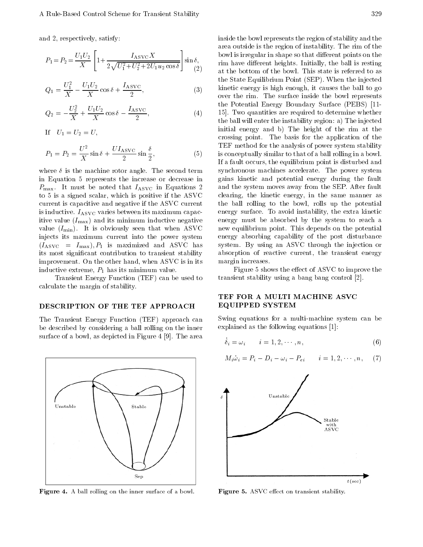and 2, respectively, satisfy:

$$
P_1 = P_2 = \frac{U_1 U_2}{X} \left[ 1 + \frac{I_{\text{ASVC}} X}{2 \sqrt{U_1^2 + U_2^2 + 2U_1 u_2 \cos \delta}} \right] \sin \delta,
$$
\n(2)

$$
Q_1 = \frac{U_1^2}{X} \quad \frac{U_1 U_2}{X} \cos \delta + \frac{I_{\text{ASVC}}}{2},\tag{3}
$$

$$
Q_2 = \frac{U_2^2}{X} + \frac{U_1 U_2}{X} \cos \delta \quad \frac{I_{\text{ASVC}}}{2},
$$
 (4) 1

$$
If U_1 = U_2 = U,
$$

$$
P_1 = P_2 = \frac{U^2}{X} \sin \delta + \frac{UI_{\text{ASVC}}}{2} \sin \frac{\delta}{2},\tag{5}
$$

where  $\delta$  is the machine rotor angle. The second term in Equation <sup>5</sup> represents the increase or decrease in  $P_{\text{max}}$ . It must be noted that  $I_{\text{ASVC}}$  in Equations 2 to <sup>5</sup> is a signed scalar, which is positive if the ASVC current is capacitive and negative if the ASVC current is inductive.  $I_{\rm ASVC}$  varies between its maximum capacitive value  $(I_{\text{max}})$  and its minimum inductive negative value  $(I_{\min})$ . It is obviously seen that when ASVC injects its maximum current into the power system  $(I_{\rm ASVC} = I_{\rm max}), P_1$  is maximized and ASVC has its most signicant contribution to transient stability improvement. On the other hand, when ASVC is in its inductive extreme,  $P_1$  has its minimum value.

Transient Energy Function (TEF) can be used to calculate the margin of stability.

#### DESCRIPTION OF THE TEF APPROACH

The Transient Energy Function (TEF) approach can be described by considering a ball rolling on the inner surface of a bowl, as depicted in Figure 4 [9]. The area



**Figure 4.** A ball rolling on the inner surface of a bowl.

sin ; rim have dierent heights. Initially, the ball is resting  $\sim$  - at the bottom of the bowl. This state is referred to as inside the bowl represents the region of stability and the area outside is the region of instability. The rim of the bowl is irregular in shape so that different points on the the State Equilibrium Point (SEP). When the injected kinetic energy is high enough, it causes the ball to go over the rim. The surface inside the bowl represents the Potential Energy Boundary Surface (PEBS) [11- 15]. Two quantities are required to determine whether the ball will enter the instability region: a) The injected initial energy and b) The height of the rim at the crossing point. The basis for the application of the TEF method for the analysis of power system stability is conceptually similar to that of a ball rolling in a bowl. If a fault occurs, the equilibrium point is disturbed and synchronous machines accelerate. The power system gains kinetic and potential energy during the fault and the system moves away from the SEP. After fault clearing, the kinetic energy, in the same manner as the ball rolling to the bowl, rolls up the potential energy surface. To avoid instability, the extra kinetic energy must be absorbed by the system to reach <sup>a</sup> new equilibrium point. This depends on the potential energy absorbing capability of the post disturbance system. By using an ASVC through the injection or absorption of reactive current, the transient energy margin increases.

Figure 5 shows the effect of ASVC to improve the transient stability using a bang bang control [2].

## TEF FOR A MULTI MACHINE ASVC EQUIPPED SYSTEM

Swing equations for <sup>a</sup> multi-machine system canbe explained as the following equations [1]:

$$
\dot{\delta}_i = \omega_i \qquad i = 1, 2, \cdots, n,\tag{6}
$$

$$
M_i \dot{\omega}_i = P_i \quad D_i \quad \omega_i \quad P_{ei} \qquad i = 1, 2, \cdots, n, \tag{7}
$$



Figure 5. ASVC effect on transient stability.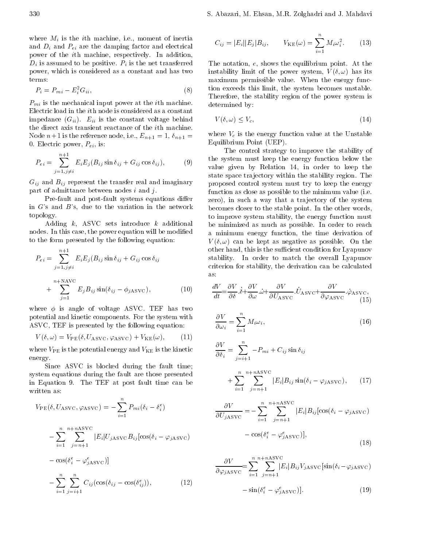where  $M_{\rm eff}$  is the inertial matrix of inertial matrix of inertial matrix of inertial matrix of inertial matrix of inertial matrix of inertial matrix of inertial matrix of inertial matrix of inertial matrix of inertial and Di and Pei are the damping factor and electrical distribution of the damping factor and electrical distribu power of the ith machine, respectively. In addition,  $\mathbb{P}$  is assumed to be positive. Pi is the net transferred transferred to  $\mathbb{E}$  if  $\mathbb{U}$ power, which is considered as a constant and has two terms:

$$
P_i = P_{mi} \t E_i^2 G_{ii}, \t\t(8)
$$

Pmi is the mechanical input power at the ith machine. Electric load in the ith node is considered as a constant impedance (Gii). Eii is the constant voltage behind the direct axis transient reactance of the ith machine. Node  $n+1$  is the reference node, i.e.,  $E_{n+1} = 1, \delta_{n+1} =$ 0. Electric power, Pet , is in the contract of the contract of the contract of the contract of the contract of

$$
P_{ei} = \sum_{j=1, j \neq i}^{n+1} E_i E_j (B_{ij} \sin \delta_{ij} + G_{ij} \cos \delta_{ij}), \qquad (9) \qquad \frac{\text{tl}}{\text{v}}
$$

Gij and Bij represent the transfer real and imaginary part of admittance between nodes  $i$  and  $j$ .

Pre-fault and post-fault systems equations differ in <sup>G</sup>'s and <sup>B</sup>'s, due to the variation in the network topology.

Adding  $k$ , ASVC sets introduce  $k$  additional nodes. In this case, the power equation will be modied to the form presented by the following equation:

$$
P_{ei} = \sum_{j=1, j \neq i}^{n+1} E_i E_j (B_{ij} \sin \delta_{ij} + G_{ij} \cos \delta_{ij}
$$
\n
$$
+ \sum_{j=1}^{n+{\rm NAVC}} E_j B_{ij} \sin(\delta_{ij} - \phi_{j{\rm ASVC}}), \qquad (10)
$$

where  $\phi$  is angle of voltage ASVC. TEF has two potential and kinetic components. For the system with ASVC, TEF is presented by the following equation:

$$
V(\delta, \omega) = V_{\rm PE}(\delta, U_{\rm ASVC}, \varphi_{\rm ASVC}) + V_{\rm KE}(\omega), \qquad (11)
$$

where  $V_{\text{PE}}$  is the potential energy and  $V_{\text{KE}}$  is the kinetic energy.

Since ASVC is blocked during the fault time; system equations during the fault are those presented in Equation 9. The TEF at post fault time can be written as:

$$
V_{PE}(\delta, U_{ASVC}, \varphi_{ASVC}) = \sum_{i=1}^{n} P_{mi}(\delta_i - \delta_i^e)
$$

$$
\sum_{i=1}^{n} \sum_{j=n+1}^{n+nASVC} |E_i| U_{jASVC} B_{ij} [\cos(\delta_i - \varphi_{jASVC})
$$

$$
\cos(\delta_i^e - \varphi_{jASVC}^e)]
$$

$$
\sum_{i=1}^{n} \sum_{j=n+1}^{n} C_{ij} (\cos(\delta_{ij} - \cos(\delta_{ij}^e))), \qquad (12)
$$

 $\cdot$  if  $\cdot$  if  $\cdot$ 

$$
C_{ij} = |E_i||E_j|B_{ij}, \qquad V_{KE}(\omega) = \sum_{i=1}^{n} M_i \omega_i^2.
$$
 (13)

The notation, e, shows the equilibrium point. At the instability limit of the power system,  $V(\delta,\omega)$  has its maximum permissible value. When the energy function exceeds this limit, the system becomes unstable. Therefore, the stability region of the power system is determined by:

$$
V(\delta, \omega) \le V_c,\tag{14}
$$

where Vc is the energy function value at the energy function value at the Unstable United States at the United States of the United States and United States and United States and United States and United States and United Equilibrium Point (UEP).

The control strategy to improve the stability of the system must keep the energy function below the value given by Relation 14, in order to keep the state space tra jectory within the stability region. The proposed control system must try to keep the energy function as close as possible to the minimum value (i.e. zero), in such a way that a trajectory of the system becomes closer to the stable point. In the other words, to improve system stability, the energy function must be minimized as much as possible. In order to reach <sup>a</sup> minimum energy function, the time derivation of  $V(\delta,\omega)$  can be kept as negative as possible. On the other hand, this is the sufficient condition for Lyapunov stability. In order to match the overall Lyapunov criterion for stability, the derivation can be calculated as:

$$
\frac{dV}{dt} = \frac{\partial V}{\partial \delta} \cdot \dot{\delta} + \frac{\partial V}{\partial \omega} \cdot \dot{\omega} + \frac{\partial V}{\partial U_{\text{ASVC}}} \cdot \dot{U}_{\text{ASVC}} + \frac{\partial V}{\partial \varphi_{\text{ASVC}}} \cdot \dot{\varphi}_{\text{ASVC}},\tag{15}
$$

$$
\frac{\partial V}{\partial \omega_i} = \sum_{i=1}^n M_i \omega_i,\tag{16}
$$

$$
\frac{\partial V}{\partial \delta_i} = \sum_{j=i+1}^n P_{mi} + C_{ij} \sin \delta_{ij}
$$

$$
+\sum_{i=1}^{n} \sum_{j=n+1}^{n+nsyc} |E_i| B_{ij} \sin(\delta_i - \varphi_{jASVC}), \qquad (17)
$$

$$
\frac{\partial V}{\partial U_{jASVC}} = \sum_{i=1}^{n} \sum_{j=n+1}^{n+nASVC} |E_i| B_{ij} [\cos(\delta_i - \varphi_{jASVC})
$$

$$
\cos(\delta_i^e - \varphi_{jASVC}^e)],
$$

$$
(18)
$$

$$
\frac{\partial V}{\partial \varphi_{jASVC}} = \sum_{i=1}^{n} \sum_{j=n+1}^{n+nASVC} |E_i| B_{ij} V_{jASVC} [\sin(\delta_i \quad \varphi_{jASVC})
$$

$$
\sin(\delta_i^e \quad \varphi_{j\,\text{ASVC}}^e)].\tag{19}
$$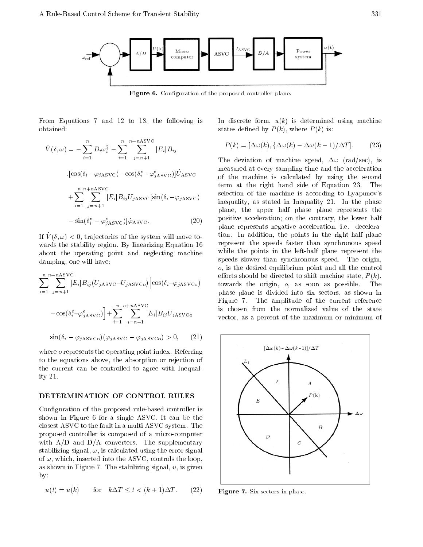

Figure 6. Configuration of the proposed controller plane.

From Equations <sup>7</sup> and <sup>12</sup> to 18, the following is obtained:

$$
\dot{V}(\delta,\omega) = \sum_{i=1}^{n} D_i \omega_i^2 \sum_{i=1}^{n} \sum_{j=n+1}^{n+{\rm nASVC}} |E_i| B_{ij}
$$
\n
$$
\cdot [\cos(\delta_i - \varphi_{jASVC}) \cos(\delta_i^e - \varphi_{jASVC}^e)] \dot{U}_{ASVC}
$$
\n
$$
+ \sum_{i=1}^{n} \sum_{j=n+1}^{n+{\rm nASVC}} |E_i| B_{ij} U_{jASVC} [\sin(\delta_i - \varphi_{jASVC}) \sin(\delta_i^e - \varphi_{jASVC}^e)] \dot{\varphi}_{ASVC}.
$$
\n(20)

If  $V(\delta, \omega) < 0$ , trajectories of the system will move towards the stability region. By linearizing Equation 16 about the operating point and neglecting machine damping, one will have:

$$
\sum_{i=1}^{n} \sum_{j=n+1}^{n+n\textrm{ASVC}} |E_i| B_{ij}(U_{j\textrm{ASVC}} U_{j\textrm{ASVC}}) \begin{bmatrix} \cos(\delta_i \varphi_{j\textrm{ASVC}}) & \epsilon \\ \cos(\delta_i^e \varphi_{j\textrm{ASVC}}^e) \end{bmatrix} + \sum_{i=1}^{n} \sum_{j=n+1}^{n+n\textrm{ASVC}} |E_i| B_{ij} U_{j\textrm{ASVC}} \begin{bmatrix} 1 & \epsilon \\ \epsilon_i^e \end{bmatrix}
$$

$$
\sin(\delta_i - \varphi_{iASVCo})(\varphi_{iASVC} - \varphi_{iASVCo}) > 0, \qquad (21)
$$

j=n+1

where *o* represents the operating point index. Referring to the equations above, the absorption or rejection of the current can be controlled to agree with Inequality 21.

### DETERMINATION OF CONTROL RULES

Configuration of the proposed rule-based controller is shown in Figure <sup>6</sup> for <sup>a</sup> single ASVC. It can be the closest ASVC to the fault in a multi ASVC system. The proposed controller is composed of <sup>a</sup> micro-computer with  $A/D$  and  $D/A$  converters. The supplementary stabilizing signal,  $\omega$ , is calculated using the error signal of  $\omega$ , which, inserted into the ASVC, controls the loop, as shown in Figure 7. The stabilizing signal,  $u$ , is given by:

$$
u(t) = u(k) \qquad \text{for} \quad k \Delta T \le t < (k+1)\Delta T. \tag{22}
$$

In discrete form,  $u(k)$  is determined using machine states defined by  $P(k)$ , where  $P(k)$  is:

$$
P(k) = [\Delta \omega(k), \{\Delta \omega(k) \quad \Delta \omega(k-1)/\Delta T]. \tag{23}
$$

 $\tau_{\rm eff}$  from the machine is calculated by using the second The deviation of machine speed,  $\Delta\omega$  (rad/sec), is measured at every sampling time and the acceleration term at the right hand side of Equation 23. The selection of the machine is according to Lyapunov's inequality, as stated in Inequality 21. In the phase plane, the upper half phase plane represents the positive acceleration; on the contrary, the lower half plane represents negative acceleration, i.e. deceleration. In addition, the points in the right-half plane represent the speeds faster than synchronous speed while the points in the left-half plane represent the speeds slower than synchronous speed. The origin, o, is the desired equilibrium point and all the control efforts should be directed to shift machine state,  $P(k)$ , towards the origin, o, as soon as possible. The phase plane is divided into six sectors, as shown in Figure 7. The amplitude of the current reference is chosen from the normalized value of the state vector, as <sup>a</sup> percent of the maximum or minimum of



Figure 7. Six sectors in phase.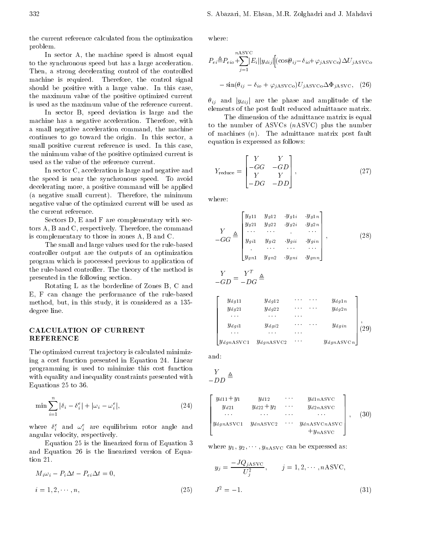the current reference calculated from the optimization problem.

In sector A, the machine speed is almost equal to the synchronous speed but has a large acceleration. Then, <sup>a</sup> strong decelerating control of the controlled machine is required. Therefore, the control signal should be positive with <sup>a</sup> large value. In this case, the maximum value of the positive optimized current is used as the maximum value of the reference current.

In sector B, speed deviation is large and the machine has <sup>a</sup> negative acceleration. Therefore, with <sup>a</sup> small negative acceleration command, the machine continues to go toward the origin. In this sector, <sup>a</sup> small positive current reference is used. In this case, the minimum value of the positive optimized current is used as the value of the reference current.

In sector C, acceleration is large and negative and the speed is near the synchronous speed. To avoid decelerating more, a positive command will be applied (a negative small current). Therefore, the minimum negative value of the optimized current will be used as the current reference.

Sectors D, E and F are complementary with sectors A, B and C, respectively. Therefore, the command is complementary to those in zones A, B and C.

The small and large values used for the rule-based controller output are the outputs of an optimization program which is processed previous to application of the rule-based controller. The theory of the method is presented in the following section.

Rotating <sup>L</sup> as the borderline of Zones B, <sup>C</sup> and E, <sup>F</sup> can change the performance of the rule-based method, but, in this study, it is considered as <sup>a</sup> 135 degree line.

# CALCULATION OF CURRENT REFERENCE

The optimized current tra jectory is calculated minimizing <sup>a</sup> cost function presented in Equation 24. Linear programming is used to minimize this cost function with equality and inequality constraints presented with Equations 25 to 36.

$$
\min \sum_{i=1}^{n} |\delta_i \quad \delta_i^e| + |\omega_i \quad \omega_i^e|,\tag{24}
$$

where  $\sigma_i^z$  and  $\omega_i^z$  are equilibrium rotor angle and  $\Box$ angular velocity, respectively.

Equation 25 is the linearized form of Equation 3 and Equation <sup>26</sup> is the linearized version of Equation 21.

$$
M_i \omega_i \quad P_i \Delta t \quad P_{ei} \Delta t = 0,
$$
  
\n
$$
i = 1, 2, \cdots, n,
$$
\n(25)

where:

$$
P_{ei} \triangleq P_{eio} + \sum_{j=1}^{nASVC} |E_i||y_{dij}| \Big[ (\cos(\theta_{ij} \quad \delta_{io} + \varphi_{jASVC}) \Delta U_{jASVC} \Big)
$$

$$
\sin(\theta_{ij} \quad \delta_{io} + \varphi_{jASVC}) U_{jASVC} \Delta \Phi_{jASVC}, \quad (26)
$$

ij and jydij <sup>j</sup> are the phase and amplitude of the elements of the post fault reduced admittance matrix.

The dimension of the admittance matrix is equal to the number of ASVCs (nASVC) plus the number of machines  $(n)$ . The admittance matrix post fault equation is expressed as follows:

$$
Y_{\text{reduce}} = \begin{bmatrix} Y & Y \\ GG & GD \\ Y & Y \\ DG & DD \end{bmatrix}, \qquad (27)
$$

$$
G G \triangleq \begin{bmatrix} y_{g11} & y_{g12} & y_{g11} & y_{g1n} \\ y_{g21} & y_{g22} & y_{g21} & y_{g2n} \\ \cdots & \cdots & \cdots & \cdots \\ y_{g11} & y_{g12} & y_{g11} & y_{g1n} \\ \vdots & \cdots & \cdots & \cdots \\ y_{g11} & y_{g12} & y_{g11} & y_{gnn} \end{bmatrix},
$$
 (28)

$$
\frac{Y}{GD} = \frac{Y^T}{DG} \triangleq
$$

**2005 - Participants and States and States and States and States and States and States and States and States and** 

$$
\begin{array}{|c|c|c|c|c|c|} \hline y_{dg11} & y_{dg12} & \cdots & y_{dg1n} \\ \hline y_{dg21} & y_{dg22} & \cdots & y_{dg2n} \\ \hline \cdots & \cdots & \cdots & y_{dgin} \\ y_{dg11} & y_{dg22} & \cdots & y_{dgin} \\ \hline \cdots & \cdots & \cdots & y_{d\,sin} \\ y_{d\,on\,ASVC1} & y_{d\,on\,ASVC2} & \cdots & y_{d\,on\,ASVCn} \end{array} \bigg|_2
$$

<sup>3</sup>

and:

$$
\frac{Y}{DD} \triangleq
$$

$$
\begin{bmatrix}\ny_{d11} + y_1 & y_{d12} & \cdots & y_{d1nASVC} \\
y_{d21} & y_{d22} + y_2 & \cdots & y_{d2nASVC} \\
\vdots & \vdots & \ddots & \vdots \\
y_{dgnASVC1} & y_{dnASVC2} & \cdots & y_{dnASVCnASVC} \\
+ y_{nASVC}\n\end{bmatrix}, (30)
$$

where  $y_1, y_2, \dots, y_{nASVC}$  can be expressed as:

$$
y_j = \frac{JQ_{jASVC}}{U_j^2}, \qquad j = 1, 2, \cdots, nASVC,
$$
  

$$
J^2 = 1.
$$
 (31)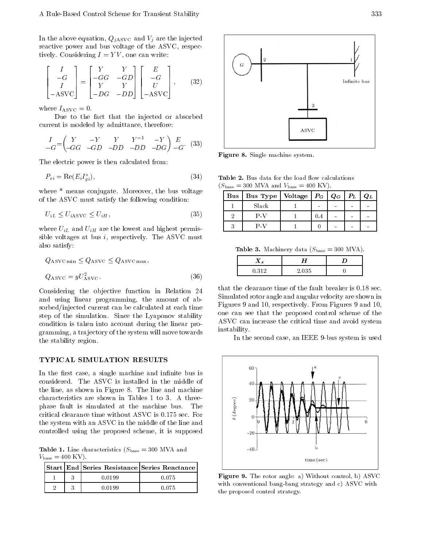In the above equation,  $Q_{jASVC}$  and  $V_j$  are the injected reactive power and bus voltage of the ASVC, respectively. Considering  $I = YV$ , one can write:

$$
\begin{bmatrix} I \\ G \\ I \\ ASVC \end{bmatrix} = \begin{bmatrix} Y & Y \\ GG & GD \\ Y & Y \\ DG & DD \end{bmatrix} \begin{bmatrix} E \\ G \\ U \\ ASVC \end{bmatrix}, \quad (32)
$$

where  $I_{\rm ASVC} = 0$ .

Due to the fact that the injected or absorbed current is modeled by admittance, therefore:

$$
\begin{array}{ccccc}\nI & Y & Y & Y & 1 & Y \\
G & G & G & D & D & D & D & G\n\end{array}\n\quad\n\begin{array}{ccccc}\nE & (33) & & \\
E & (34) & & \\
E & G & G & G & G\n\end{array}
$$

The electric power is then calculated from:

$$
P_{ei} = \text{Re}(E_i I_{gi}^*),\tag{34}
$$

where \* means conjugate. Moreover, the bus voltage of the ASVC must satisfy the following condition:

$$
U_{iL} \le U_{iASVC} \le U_{iH},\tag{35}
$$

where  $\mathcal{L}_{\text{eff}}$  and  $\mathcal{L}_{\text{eff}}$  are the lowest and highest permission sible voltages at bus  $i$ , respectively. The ASVC must also satisfy:

$$
Q_{\rm ASVC min} \le Q_{\rm ASVC} \le Q_{\rm ASVC max},
$$
  

$$
Q_{\rm ASVC} = yU_{\rm ASVC}^2.
$$
 (36)

Considering the objective function in Relation 24 and using linear programming, the amount of absorbed/injected current can be calculated at each time step of the simulation. Since the Lyaponov stability condition is taken into account during the linear programming, a tra jectory of the system will move towards the stability region.

### TYPICAL SIMULATION RESULTS

In the first case, a single machine and infinite bus is considered. The ASVC is installed in the middle of the line, as shown in Figure 8. The line and machine characteristics are shown in Tables <sup>1</sup> to 3. <sup>A</sup> threephase fault is simulated at the machine bus. - The critical clearance time without ASVC is 0.175 sec. For the system with an ASVC in the middle of the line and controlled using the proposed scheme, it is supposed

**Table 1.** Line characteristics  $(S_{base} = 300$  MVA and  $V_{\text{base}} = 400 \text{ KV}.$ 

|  | Start   End   Series Resistance   Series Reactance |       |  |
|--|----------------------------------------------------|-------|--|
|  | N N 199                                            | በ በ75 |  |
|  |                                                    | በ በ75 |  |



Figure 8. Single machine system.

Table 2. Bus data for the load flow calculations  $(S<sub>base</sub> = 300$  MVA and  $V<sub>base</sub> = 400$  KV).

| Bus   Bus Type   Voltage   $P_G$   $Q_G$   $P_L$ |     |  | $Q_L$ |
|--------------------------------------------------|-----|--|-------|
| Slack                                            |     |  |       |
| P-V                                              | 0.4 |  |       |
| P-V                                              |     |  |       |

Table 3. Machinery data  $(S<sub>base</sub> = 300 MVA)$ .

| ∡⊾  | --                                         |  |
|-----|--------------------------------------------|--|
| 21C | $\sim$ $-$<br>- 7122<br>◡<br>. .<br>$\sim$ |  |

that the clearance time of the fault breaker is 0.18 sec. Simulated rotor angle and angular velocity are shown in Figures 9 and 10, respectively. From Figures 9 and 10, one can see that the proposed control scheme of the ASVC can increase the critical time and avoid system instability.

In the second case, an IEEE 9-bus system is used



Figure 9. The rotor angle: a) Without control, b) ASVC with conventional bang-bang strategy and c) ASVC with the proposed control strategy.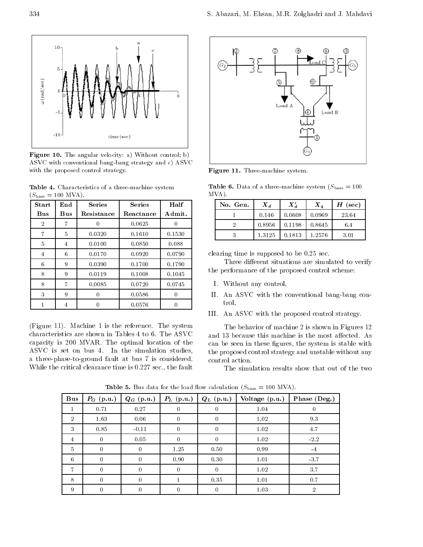

Figure 10. The angular velocity: a) Without control; b) ASVC with conventional bang-bang strategy and c) ASVC with the proposed control strategy.

Table 4. Characteristics of a three-machine system  $(S<sub>base</sub> = 100 MVA).$ 

| Start      | End | <b>Series</b> | <b>Series</b> | Half   |
|------------|-----|---------------|---------------|--------|
| <b>Bus</b> | Bus | Resistance    | Reactance     | Admit. |
| 2          | 7   | 0             | 0.0625        |        |
| 7          | 5   | 0.0320        | 0.1610        | 0.1530 |
| 5          | 4   | 0.0100        | 0.0850        | 0.088  |
| 4          | 6   | 0.0170        | 0.0920        | 0.0790 |
| 6          | 9   | 0.0390        | 0.1700        | 0.1790 |
| 8          | 9   | 0.0119        | 0.1008        | 0.1045 |
| 8          | 7   | 0.0085        | 0.0720        | 0.0745 |
| 3          | 9   | 0             | 0.0586        | 0      |
|            |     |               | 0.0576        | 0      |

(Figure 11). Machine <sup>1</sup> is the reference. The system characteristics are shown in Tables 4 to 6. The ASVC capacity is <sup>200</sup> MVAR. The optimal location of the ASVC is set on bus 4. In the simulation studies, <sup>a</sup> three-phase-to-ground fault at bus <sup>7</sup> is considered. While the critical clearance time is 0.227 sec., the fault



Figure 11. Three-machine system.

**Table 6.** Data of a three-machine system  $(S_{base} = 100$ MVA).

| No. Gen. | $\boldsymbol{X_d}$ | $X'_d$ | $X_{a}$ | $H$ (sec) |
|----------|--------------------|--------|---------|-----------|
|          | 0.146              | 0.0608 | 0.0969  | 23.64     |
|          | 0.8956             | 0.1198 | 0.8645  | 6.4       |
|          | 1.3125             | 0.1813 | 1.2576  | 3.01      |

clearing time is supposed to be 0.25 sec.

Three different situations are simulated to verify the performance of the proposed control scheme:

- I. Without any control,
- II. An ASVC with the conventional bang-bang control,
- III. An ASVC with the proposed control strategy.

The behavior of machine 2 is shown in Figures 12 and 13 because this machine is the most affected. As can be seen in these figures, the system is stable with the proposed control strategy and unstable without any control action.

The simulation results show that out of the two

| <b>Bus</b>      | $P_G(p.u.)$ | $Q_G$ (p.u.) | $P_L$ (p.u.) | $Q_L$ (p.u.) | Voltage (p.u.) | Phase (Deg.) |
|-----------------|-------------|--------------|--------------|--------------|----------------|--------------|
| 1               | 0.71        | 0.27         | $\Omega$     | $\cup$       | 1.04           | 0            |
| $\overline{2}$  | 1.63        | 0.06         | $\theta$     | 0            | 1.02           | 9.3          |
| 3               | 0.85        | $-0.11$      |              | $\Omega$     | 1.02           | 4.7          |
| 4               | $\Omega$    | 0.05         |              | 0            | 1.02           | $-2.2$       |
| $5\overline{)}$ | $\theta$    | $\Omega$     | 1.25         | 0.50         | 0.99           | $-4$         |
| 6               | $\Omega$    | 0            | 0.90         | 0.30         | 1.01           | $-3.7$       |
| 7               | $\Omega$    | $\Omega$     | $\theta$     | $\theta$     | 1.02           | 3.7          |
| 8               | $\Omega$    | $\Omega$     |              | 0.35         | 1.01           | 0.7          |
| 9               | $\theta$    |              |              | $\theta$     | 1.03           | 2            |

**Table 5.** Bus data for the load flow calculation  $(S_{\text{base}} = 100 \text{ MVA})$ .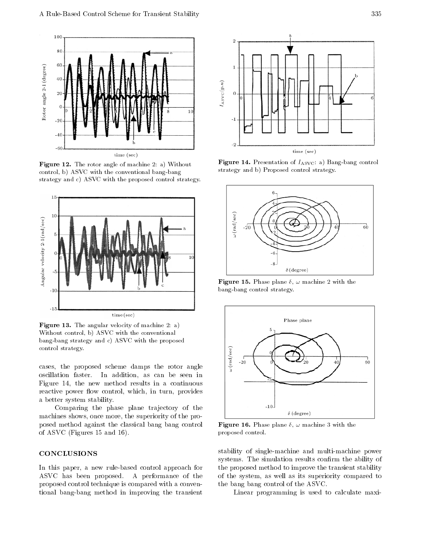

Figure 12. The rotor angle of machine 2: a) Without control, b) ASVC with the conventional bang-bang strategy and c) ASVC with the proposed control strategy.



Figure 13. The angular velocity of machine 2: a) Without control, b) ASVC with the conventional bang-bang strategy and c) ASVC with the proposed control strategy.

cases, the proposed scheme damps the rotor angle oscillation faster. In addition, as can be seen in Figure 14, the new method results in <sup>a</sup> continuous reactive power flow control, which, in turn, provides <sup>a</sup> better system stability.

Comparing the phase plane trajectory of the machines shows, once more, the superiority of the proposed method against the classical bang bang control of ASVC (Figures 15 and 16).

# CONCLUSIONS

In this paper, <sup>a</sup> new rule-based control approach for ASVC has been proposed. <sup>A</sup> performance of the proposed control technique is compared with a conventional bang-bang method in improving the transient



Figure 14. Presentation of IASVC: a) Bang-bang control strategy and b) Proposed control strategy.



**Figure 15.** Phase plane  $\delta$ ,  $\omega$  machine 2 with the bang-bang control strategy.



Figure 16. Phase plane  $\delta$ ,  $\omega$  machine 3 with the proposed control.

stability of single-machine and multi-machine power systems. The simulation results confirm the ability of the proposed method to improve the transient stability of the system, as well as its superiority compared to the bang bang control of the ASVC.

Linear programming is used to calculate maxi-